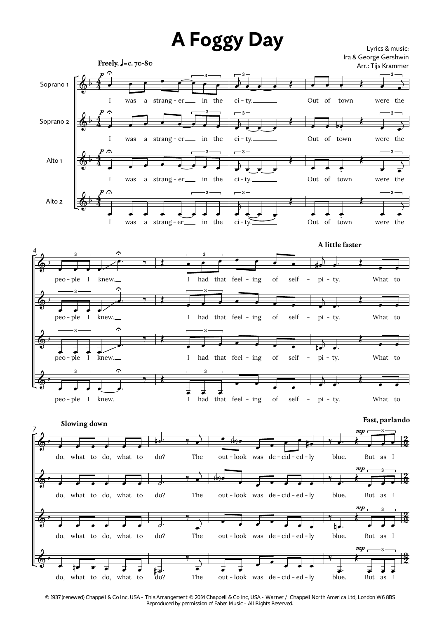



œ

 $\overline{\phantom{a}}$ 

out - look was de - cid - ed - ly

out - look was de - cid - ed - ly

out - look was de - cid - ed - ly

œ

œ

œ

 $\overline{\cdot}$   $\overline{\cdot}$   $\overline{\cdot}$ 

‰ nœ.

‰

blue.

 $\Box$ .

 $\overline{\phantom{a}}$ 

do? The

do? The

‰ j œ

‰  $\overline{a}$ œ The

˙.

 $\sharp_{\text{do}}^{\exists}$ .

 $\frac{2}{2}$ 

blue. But as I

blue. But as I

 $\boldsymbol{m}$ 

blue. But as I

 $\ddot{\bullet}$ **3**

Lyrics & music:

œ œ œ

**3**

Œ

 $\boldsymbol{m}$ 

Œ

 $\frac{2}{2}$ <u>2</u>

 $\pmb{\phi}$ 

b

do, what to do, what to

 $\overline{a}$ do, what to do, what to

 $\overrightarrow{r}$  and  $\overrightarrow{r}$  and  $\overrightarrow{r}$  and  $\overrightarrow{r}$ do, what to do, what to

b

 $\pmb{\phi}$ 

*<sup>© 1937 (</sup>renewed) Chappell & Co Inc, USA - This Arrangement © 2014 Chappell & Co Inc, USA - Warner / Chappell North America Ltd, London W6 8BS Reproduced by permission of Faber Music - All Rights Reserved.*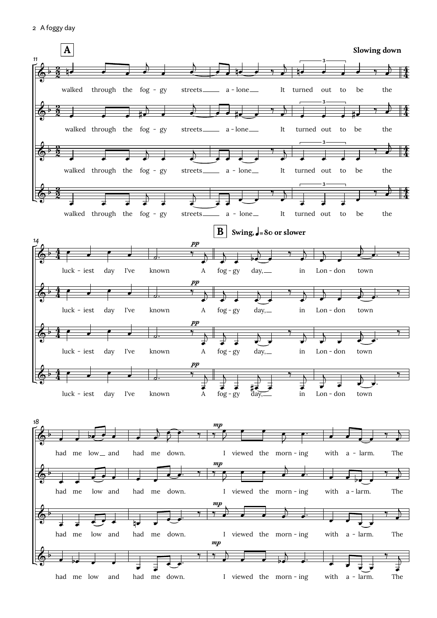2 A foggy day